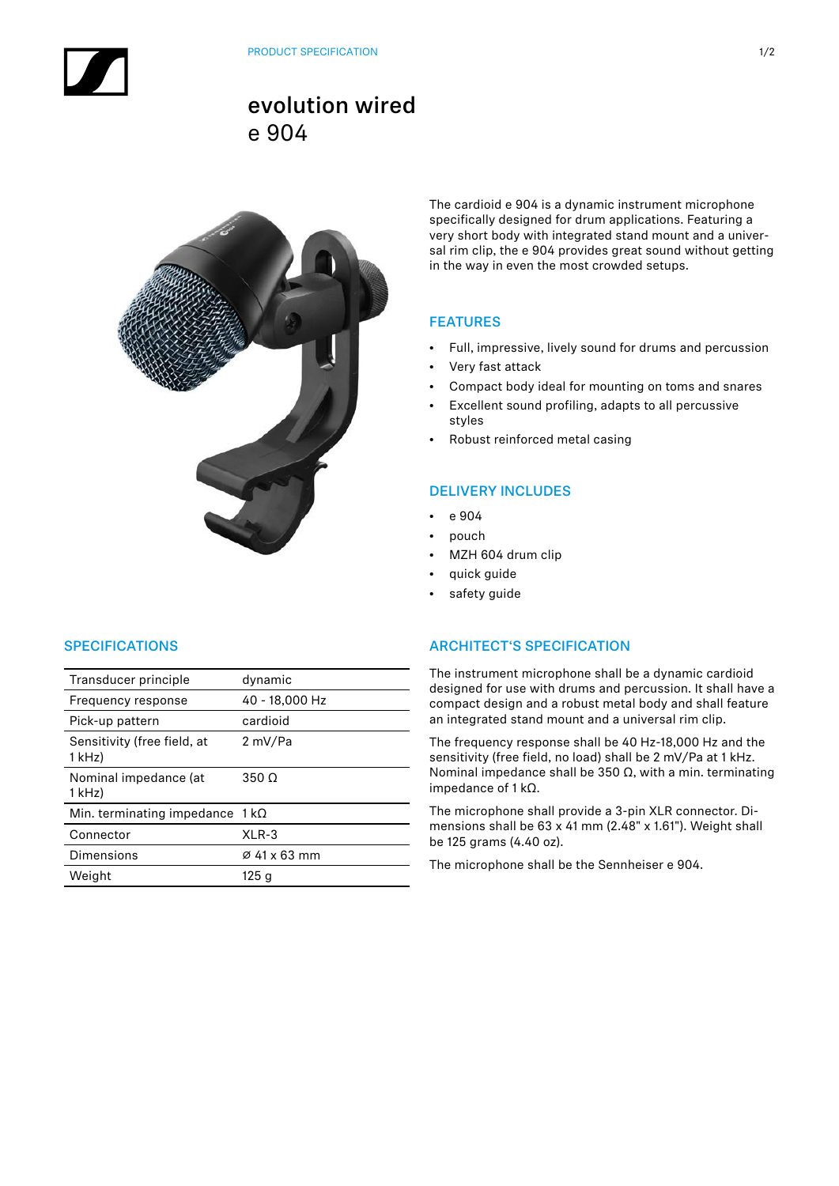# evolution wired e 904



The cardioid e 904 is a dynamic instrument microphone specifically designed for drum applications. Featuring a very short body with integrated stand mount and a universal rim clip, the e 904 provides great sound without getting in the way in even the most crowded setups.

# FEATURES

- Full, impressive, lively sound for drums and percussion
- Very fast attack
- Compact body ideal for mounting on toms and snares
- Excellent sound profiling, adapts to all percussive styles
- Robust reinforced metal casing

## DELIVERY INCLUDES

- e 904
- pouch
- MZH 604 drum clip
- quick guide
- safety guide

## **SPECIFICATIONS**

| Transducer principle                    | dynamic        |
|-----------------------------------------|----------------|
| Frequency response                      | 40 - 18,000 Hz |
| Pick-up pattern                         | cardioid       |
| Sensitivity (free field, at<br>$1$ kHz) | 2 mV/Pa        |
| Nominal impedance (at<br>1 kHz)         | $350 \Omega$   |
| Min. terminating impedance $1 k\Omega$  |                |
| Connector                               | $XLR-3$        |
| Dimensions                              | Ø 41 x 63 mm   |
| Weight                                  | 125 g          |

### ARCHITECT'S SPECIFICATION

The instrument microphone shall be a dynamic cardioid designed for use with drums and percussion. It shall have a compact design and a robust metal body and shall feature an integrated stand mount and a universal rim clip.

The frequency response shall be 40 Hz-18,000 Hz and the sensitivity (free field, no load) shall be 2 mV/Pa at 1 kHz. Nominal impedance shall be 350 Ω, with a min. terminating impedance of 1 kΩ.

The microphone shall provide a 3-pin XLR connector. Dimensions shall be 63 x 41 mm (2.48" x 1.61"). Weight shall be 125 grams (4.40 oz).

The microphone shall be the Sennheiser e 904.